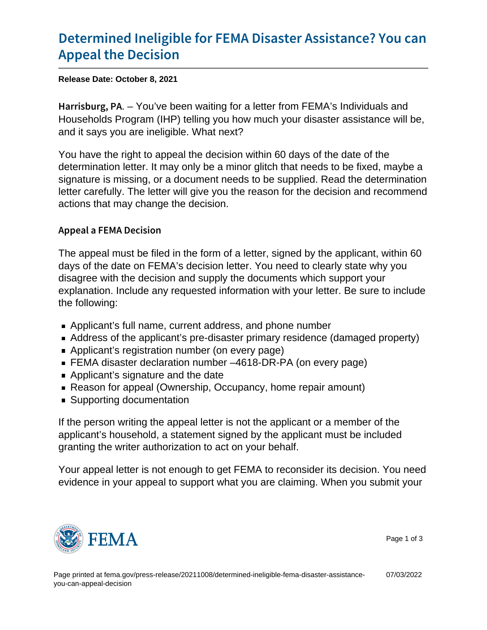## [Determined Ineligible for FEMA Disa](https://www.fema.gov/press-release/20211008/determined-ineligible-fema-disaster-assistance-you-can-appeal-decision)ster A [Appeal the D](https://www.fema.gov/press-release/20211008/determined-ineligible-fema-disaster-assistance-you-can-appeal-decision)ecision

Release Date: October 8, 2021

H a r r i s b u r  $g$  YoP' $\vee$  been waiting for a letter from FEMA's Individuals and Households Program (IHP) telling you how much your disaster assistance will be, and it says you are ineligible. What next?

You have the right to appeal the decision within 60 days of the date of the determination letter. It may only be a minor glitch that needs to be fixed, maybe a signature is missing, or a document needs to be supplied. Read the determination letter carefully. The letter will give you the reason for the decision and recommend actions that may change the decision.

## Appeal a FEMA Decision

The appeal must be filed in the form of a letter, signed by the applicant, within 60 days of the date on FEMA's decision letter. You need to clearly state why you disagree with the decision and supply the documents which support your explanation. Include any requested information with your letter. Be sure to include the following:

- Applicant's full name, current address, and phone number
- Address of the applicant's pre-disaster primary residence (damaged property)
- Applicant's registration number (on every page)
- FEMA disaster declaration number –4618-DR-PA (on every page)
- **Applicant's signature and the date**
- Reason for appeal (Ownership, Occupancy, home repair amount)
- Supporting documentation

If the person writing the appeal letter is not the applicant or a member of the applicant's household, a statement signed by the applicant must be included granting the writer authorization to act on your behalf.

Your appeal letter is not enough to get FEMA to reconsider its decision. You need evidence in your appeal to support what you are claiming. When you submit your



Page 1 of 3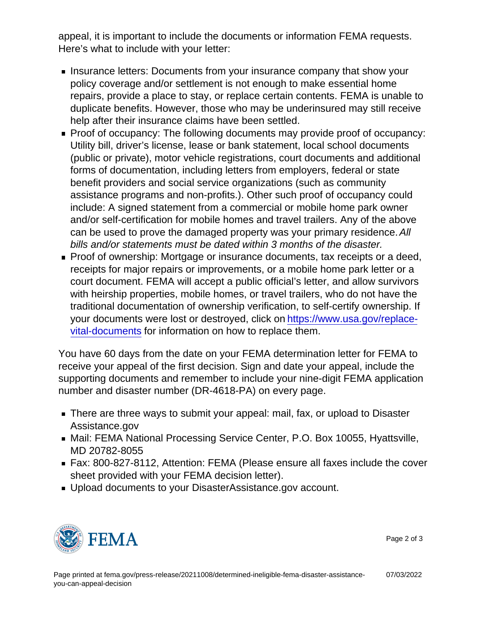appeal, it is important to include the documents or information FEMA requests. Here's what to include with your letter:

- **Insurance letters: Documents from your insurance company that show your** policy coverage and/or settlement is not enough to make essential home repairs, provide a place to stay, or replace certain contents. FEMA is unable to duplicate benefits. However, those who may be underinsured may still receive help after their insurance claims have been settled.
- **Proof of occupancy: The following documents may provide proof of occupancy:** Utility bill, driver's license, lease or bank statement, local school documents (public or private), motor vehicle registrations, court documents and additional forms of documentation, including letters from employers, federal or state benefit providers and social service organizations (such as community assistance programs and non-profits.). Other such proof of occupancy could include: A signed statement from a commercial or mobile home park owner and/or self-certification for mobile homes and travel trailers. Any of the above can be used to prove the damaged property was your primary residence. All bills and/or statements must be dated within 3 months of the disaster.
- Proof of ownership: Mortgage or insurance documents, tax receipts or a deed, receipts for major repairs or improvements, or a mobile home park letter or a court document. FEMA will accept a public official's letter, and allow survivors with heirship properties, mobile homes, or travel trailers, who do not have the traditional documentation of ownership verification, to self-certify ownership. If your documents were lost or destroyed, click on [https://www.usa.gov/replace](https://www.usa.gov/replace-vital-documents)[vital-documents](https://www.usa.gov/replace-vital-documents) for information on how to replace them.

You have 60 days from the date on your FEMA determination letter for FEMA to receive your appeal of the first decision. Sign and date your appeal, include the supporting documents and remember to include your nine-digit FEMA application number and disaster number (DR-4618-PA) on every page.

- There are three ways to submit your appeal: mail, fax, or upload to Disaster Assistance.gov
- Mail: FEMA National Processing Service Center, P.O. Box 10055, Hyattsville, MD 20782-8055
- Fax: 800-827-8112, Attention: FEMA (Please ensure all faxes include the cover sheet provided with your FEMA decision letter).
- Upload documents to your DisasterAssistance.gov account.